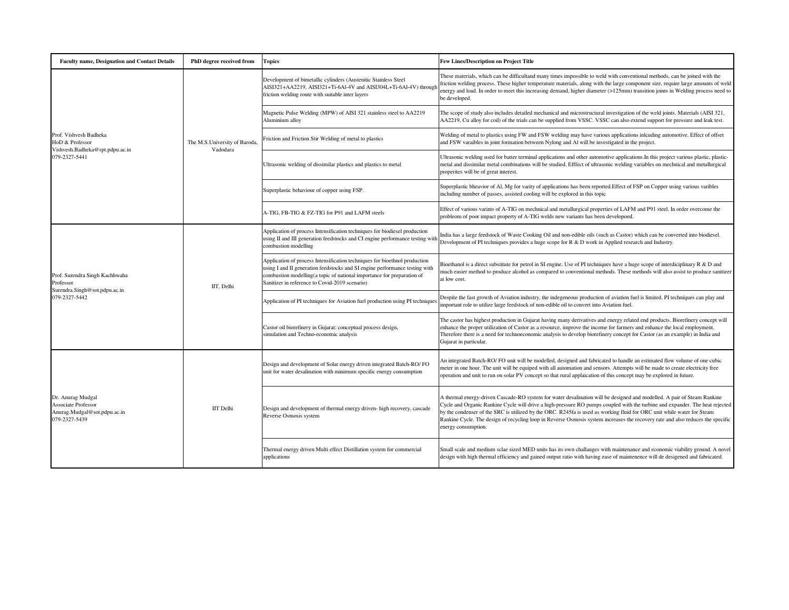| <b>Faculty name, Designation and Contact Details</b>                                             | PhD degree received from                  | <b>Topics</b>                                                                                                                                                                                                                                                                         | <b>Few Lines/Description on Project Title</b>                                                                                                                                                                                                                                                                                                                                                                                                                                                                                               |
|--------------------------------------------------------------------------------------------------|-------------------------------------------|---------------------------------------------------------------------------------------------------------------------------------------------------------------------------------------------------------------------------------------------------------------------------------------|---------------------------------------------------------------------------------------------------------------------------------------------------------------------------------------------------------------------------------------------------------------------------------------------------------------------------------------------------------------------------------------------------------------------------------------------------------------------------------------------------------------------------------------------|
| Prof. Vishvesh Badheka<br>HoD & Professor<br>Vishvesh.Badheka@spt.pdpu.ac.in<br>079-2327-5441    | The M.S.University of Baroda,<br>Vadodara | Development of bimetallic cylinders (Austenitic Stainless Steel<br>AISI321+AA2219, AISI321+Ti-6Al-4V and AISI304L+Ti-6Al-4V) through<br>friction welding route with suitable inter layers                                                                                             | These materials, which can be difficultand many times impossible to weld with conventional methods, can be joined with the<br>friction welding process. These higher temperature materials, along with the large component size, require large amounts of weld<br>energy and load. In order to meet this increasing demand, higher diameter (>125mm) transition joints in Welding process need to<br>be developed.                                                                                                                          |
|                                                                                                  |                                           | Magnetic Pulse Welding (MPW) of AISI 321 stainless steel to AA2219<br>Aluminium alloy                                                                                                                                                                                                 | The scope of study also includes detailed mechanical and microstructural investigation of the weld joints. Materials (AISI 321,<br>AA2219, Cu alloy for coil) of the trials can be supplied from VSSC. VSSC can also extend support for pressure and leak test.                                                                                                                                                                                                                                                                             |
|                                                                                                  |                                           | Friction and Friction Stir Welding of metal to plastics                                                                                                                                                                                                                               | Welding of metal to plastics using FW and FSW welding may have various applications inlcuding automotive. Effect of offset<br>and FSW varaibles in joint formation between Nylong and Al will be investigated in the project.                                                                                                                                                                                                                                                                                                               |
|                                                                                                  |                                           | Ultrasonic welding of dissimilar plastics and plastics to metal                                                                                                                                                                                                                       | Ultrasonic welding used for batter terminal applications and other automotive applications. In this project various plastic, plastic-<br>metal and dissimilar metal combinations will be studied. Efffect of ultrasonic welding variables on mechnical and metallurgical<br>properites will be of great interest.                                                                                                                                                                                                                           |
|                                                                                                  |                                           | Superplastic behaviour of copper using FSP.                                                                                                                                                                                                                                           | Superplastic bheavior of Al, Mg for varity of applications has been reported. Effect of FSP on Copper using various varibles<br>including number of passes, assisted cooling will be explored in this topic                                                                                                                                                                                                                                                                                                                                 |
|                                                                                                  |                                           | A-TIG, FB-TIG & FZ-TIG for P91 and LAFM steels                                                                                                                                                                                                                                        | Effect of various varints of A-TIG on mechnical and metallurgical properties of LAFM and P91 steel. In order overcome the<br>probleom of poor impact property of A-TIG welds new variants has been developoed.                                                                                                                                                                                                                                                                                                                              |
| Prof. Surendra Singh Kachhwaha<br>Professor<br>Surendra.Singh@sot.pdpu.ac.in<br>079-2327-5442    | IIT. Delhi                                | Application of process Intensification techniques for biodiesel production<br>using II and III generation feedstocks and CI engine performance testing with<br>combustion modelling                                                                                                   | India has a large feedstock of Waste Cooking Oil and non-edible oils (such as Castor) which can be converted into biodiesel.<br>Development of PI techniques provides a huge scope for R & D work in Applied research and Industry.                                                                                                                                                                                                                                                                                                         |
|                                                                                                  |                                           | Application of process Intensification techniques for bioethnol production<br>using I and II generation feedstocks and SI engine performance testing with<br>combustion modelling(a topic of national importance for preparation of<br>Sanitizer in reference to Covid-2019 scenario) | Bioethanol is a direct substitute for petrol in SI engine. Use of PI techniques have a huge scope of interdiciplinary R & D and<br>nuch easier method to produce alcohol as compared to conventional methods. These methods will also assist to produce sanitizer<br>at low cost.                                                                                                                                                                                                                                                           |
|                                                                                                  |                                           | Application of PI techniques for Aviation fuel production using PI techniques                                                                                                                                                                                                         | Despite the fast growth of Aviation industry, the indegeneous production of aviation fuel is limited. PI techniques can play and<br>mportant role to utilize large feedstock of non-edible oil to convert into Aviation fuel.                                                                                                                                                                                                                                                                                                               |
|                                                                                                  |                                           | Castor oil biorefinery in Gujarat: conceptual process design,<br>simulation and Techno-economic analysis                                                                                                                                                                              | The castor has highest production in Gujarat having many derivatives and energy related end products. Biorefinery concept will<br>enhance the proper utilization of Castor as a resource, improve the income for farmers and enhance the local employment.<br>Therefore there is a need for technoeconomic analysis to develop biorefinery concept for Castor (as an example) in India and<br>Gujarat in particular.                                                                                                                        |
| Dr. Anurag Mudgal<br><b>Associate Professor</b><br>Anurag.Mudgal@sot.pdpu.ac.in<br>079-2327-5439 | <b>IIT</b> Delhi                          | Design and development of Solar energy driven integrated Batch-RO/FO<br>unit for water desalination with minimum specific energy consumption                                                                                                                                          | An integrated Batch-RO/FO unit will be modelled, designed and fabricated to handle an estimated flow volume of one cubic<br>meter in one hour. The unit will be equiped with all automation and sensors. Attempts will be made to create electricity free<br>operation and unit to run on solar PV concept so that rural applaication of this concept may be explored in future.                                                                                                                                                            |
|                                                                                                  |                                           | Design and development of thermal energy driven- high recovery, cascade<br>Reverse Osmosis system                                                                                                                                                                                     | A thermal energy-driven Cascade-RO system for water desalination will be designed and modelled. A pair of Steam Rankine<br>Cycle and Organic Rankine Cycle will drive a high-pressure RO pumps coupled with the turbine and expander. The heat rejected<br>by the condenser of the SRC is utilized by the ORC. R245fa is used as working fluid for ORC unit while water for Steam<br>Rankine Cycle. The design of recycling loop in Reverse Osmosis system increases the recovery rate and also reduces the specific<br>energy consumption. |
|                                                                                                  |                                           | Thermal energy driven Multi effect Distillation system for commercial<br>applications                                                                                                                                                                                                 | Small scale and medium sclae sized MED units has its own challanges with maintenance and economic viability ground. A novel<br>design with high thermal efficiency and gained output ratio with having ease of maintenence will de desigened and fabricated.                                                                                                                                                                                                                                                                                |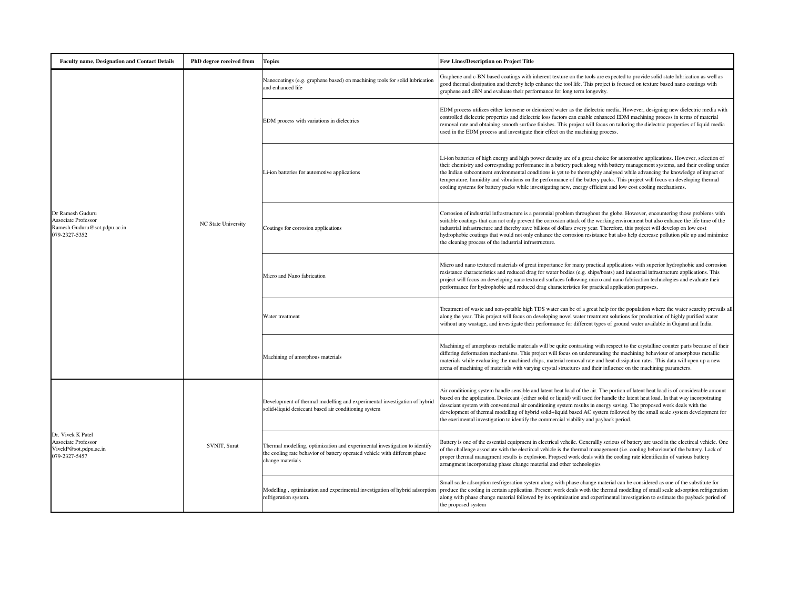| <b>Faculty name, Designation and Contact Details</b>                                            | PhD degree received from | <b>Topics</b>                                                                                                                                                                | <b>Few Lines/Description on Project Title</b>                                                                                                                                                                                                                                                                                                                                                                                                                                                                                                                                                                                                   |
|-------------------------------------------------------------------------------------------------|--------------------------|------------------------------------------------------------------------------------------------------------------------------------------------------------------------------|-------------------------------------------------------------------------------------------------------------------------------------------------------------------------------------------------------------------------------------------------------------------------------------------------------------------------------------------------------------------------------------------------------------------------------------------------------------------------------------------------------------------------------------------------------------------------------------------------------------------------------------------------|
| Dr Ramesh Guduru<br><b>Associate Professor</b><br>Ramesh.Guduru@sot.pdpu.ac.in<br>079-2327-5352 | NC State University      | Nanocoatings (e.g. graphene based) on machining tools for solid lubrication<br>and enhanced life                                                                             | Graphene and c-BN based coatings with inherent texture on the tools are expected to provide solid state lubrication as well as<br>good thermal dissipation and thereby help enhance the tool life. This project is focused on texture based nano coatings with<br>graphene and cBN and evaluate their performance for long term longevity.                                                                                                                                                                                                                                                                                                      |
|                                                                                                 |                          | EDM process with variations in dielectrics                                                                                                                                   | EDM process utilizes either kerosene or deionized water as the dielectric media. However, designing new dielectric media with<br>controlled dielectric properties and dielectric loss factors can enable enhanced EDM machining process in terms of material<br>removal rate and obtaining smooth surface finishes. This project will focus on tailoring the dielectric properties of liquid media<br>used in the EDM process and investigate their effect on the machining process.                                                                                                                                                            |
|                                                                                                 |                          | Li-ion batteries for automotive applications                                                                                                                                 | Li-ion batteries of high energy and high power density are of a great choice for automotive applications. However, selection of<br>their chemistry and correspnding performance in a battery pack along with battery management systems, and their cooling under<br>the Indian subcontinent environmental conditions is yet to be thoroughly analysed while advancing the knowledge of impact of<br>temperature, humidity and vibrations on the performance of the battery packs. This project will focus on developing thermal<br>cooling systems for battery packs while investigating new, energy efficient and low cost cooling mechanisms. |
|                                                                                                 |                          | Coatings for corrosion applications                                                                                                                                          | Corrosion of industrial infrastructure is a perennial problem throughout the globe. However, encountering those problems with<br>suitable coatings that can not only prevent the corrosion attack of the working environment but also enhance the life time of the<br>industrial infrastructure and thereby save billions of dollars every year. Therefore, this project will develop on low cost<br>hydrophobic coatings that would not only enhance the corrosion resistance but also help decrease pollution pile up and minimize<br>the cleaning process of the industrial infrastructure.                                                  |
|                                                                                                 |                          | Micro and Nano fabrication                                                                                                                                                   | Micro and nano textured materials of great importance for many practical applications with superior hydrophobic and corrosion<br>resistance characteristics and reduced drag for water bodies (e.g. ships/boats) and industrial infrastructure applications. This<br>project will focus on developing nano textured surfaces following micro and nano fabrication technologies and evaluate their<br>performance for hydrophobic and reduced drag characteristics for practical application purposes.                                                                                                                                           |
|                                                                                                 |                          | Water treatment                                                                                                                                                              | Treatment of waste and non-potable high TDS water can be of a great help for the population where the water scarcity prevails all<br>along the year. This project will focus on developing novel water treatment solutions for production of highly purified water<br>without any wastage, and investigate their performance for different types of ground water available in Gujarat and India.                                                                                                                                                                                                                                                |
|                                                                                                 |                          | Machining of amorphous materials                                                                                                                                             | Machining of amorphous metallic materials will be quite contrasting with respect to the crystalline counter parts because of their<br>differing deformation mechanisms. This project will focus on understanding the machining behaviour of amorphous metallic<br>materials while evaluating the machined chips, material removal rate and heat dissipation rates. This data will open up a new<br>arena of machining of materials with varying crystal structures and their influence on the machining parameters.                                                                                                                             |
| Dr. Vivek K Patel<br>Associate Professor<br>VivekP@sot.pdpu.ac.in<br>079-2327-5457              | SVNIT, Surat             | Development of thermal modelling and experimental investigation of hybrid<br>solid+liquid desiccant based air conditioning system                                            | Air conditioning system handle sensible and latent heat load of the air. The portion of latent heat load is of considerable amount<br>based on the application. Desiccant {either solid or liquid) will used for handle the latent heat load. In that way incorpotrating<br>dessciant system with conventional air conditioning system results in energy saving. The proposed work deals with the<br>development of thermal modelling of hybrid solid+liquid based AC system followed by the small scale system development for<br>the exerimental investigation to identify the commercial viability and payback period.                       |
|                                                                                                 |                          | Thermal modelling, optimization and experimental investigation to identify<br>the cooling rate behavior of battery operated vehicle with different phase<br>change materials | Battery is one of the essential equipment in electrical vehcile. Generallly serious of battery are used in the electical vehicle. One<br>of the challenge associate with the electircal vehicle is the thermal management (i.e. cooling behaviour) of the battery. Lack of<br>proper thermal managment results is explosion. Propsed work deals with the cooling rate identificatin of various battery<br>arrangment incorporating phase change material and other technologies                                                                                                                                                                 |
|                                                                                                 |                          | Modelling, optimization and experimental investigation of hybrid adsorption<br>refrigeration system.                                                                         | Small scale adsorption resfrigeration system along with phase change material can be considered as one of the substitute for<br>produce the cooling in certain applicatins. Present work deals woth the thermal modelling of small scale adsorption refrigeration<br>along with phase change material followed by its optimization and experimental investigation to estimate the payback period of<br>the proposed system                                                                                                                                                                                                                      |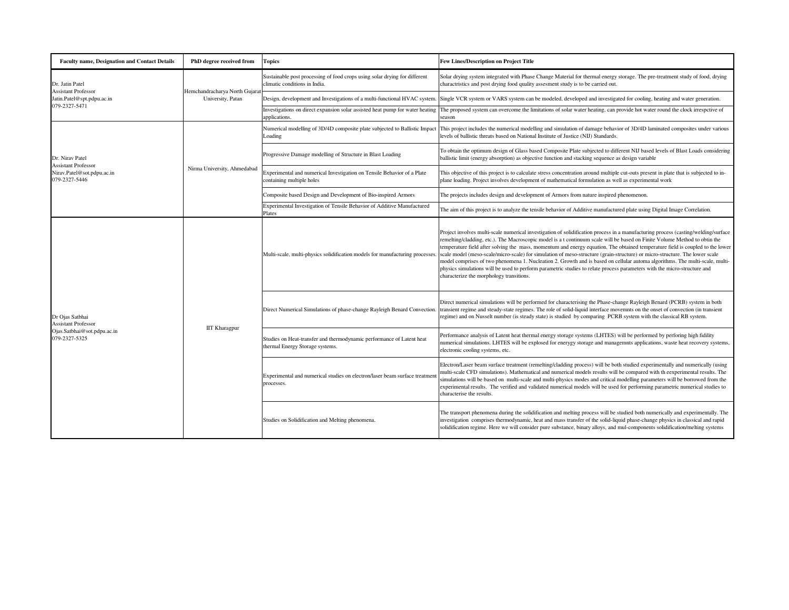| <b>Faculty name, Designation and Contact Details</b>                                          | PhD degree received from                            | <b>Topics</b>                                                                                               | <b>Few Lines/Description on Project Title</b>                                                                                                                                                                                                                                                                                                                                                                                                                                                                                                                                                                                                                                                                                                                                                                                             |
|-----------------------------------------------------------------------------------------------|-----------------------------------------------------|-------------------------------------------------------------------------------------------------------------|-------------------------------------------------------------------------------------------------------------------------------------------------------------------------------------------------------------------------------------------------------------------------------------------------------------------------------------------------------------------------------------------------------------------------------------------------------------------------------------------------------------------------------------------------------------------------------------------------------------------------------------------------------------------------------------------------------------------------------------------------------------------------------------------------------------------------------------------|
| Dr. Jatin Patel<br><b>Assistant Professor</b><br>Jatin.Patel@spt.pdpu.ac.in<br>079-2327-5471  | Hemchandracharya North Gujarat<br>University, Patan | Sustainable post processing of food crops using solar drying for different<br>climatic conditions in India. | Solar drying system integrated with Phase Change Material for thermal energy storage. The pre-treatment study of food, drying<br>charactristics and post drying food quality assesment study is to be carried out.                                                                                                                                                                                                                                                                                                                                                                                                                                                                                                                                                                                                                        |
|                                                                                               |                                                     |                                                                                                             | Design, development and Investigations of a multi-functional HVAC system. Single VCR system or VARS system can be modeled, developed and investigated for cooling, heating and water generation.                                                                                                                                                                                                                                                                                                                                                                                                                                                                                                                                                                                                                                          |
|                                                                                               |                                                     | Investigations on direct expansion solar assisted heat pump for water heating<br>applications.              | The proposed system can overcome the limitations of solar water heating, can provide hot water round the clock irrespetive of<br>season                                                                                                                                                                                                                                                                                                                                                                                                                                                                                                                                                                                                                                                                                                   |
| Dr. Nirav Patel<br><b>Assistant Professor</b><br>Nirav.Patel@sot.pdpu.ac.in<br>079-2327-5446  | Nirma University, Ahmedabad                         | Numerical modelling of 3D/4D composite plate subjected to Ballistic Impact<br>Loading                       | This project includes the numerical modelling and simulation of damage behavior of 3D/4D laminated composites under various<br>evels of ballistic threats based on National Institute of Justice (NIJ) Standards.                                                                                                                                                                                                                                                                                                                                                                                                                                                                                                                                                                                                                         |
|                                                                                               |                                                     | Progressive Damage modelling of Structure in Blast Loading                                                  | To obtain the optimum design of Glass based Composite Plate subjected to different NIJ based levels of Blast Loads considering<br>ballistic limit (energy absorption) as objective function and stacking sequence as design variable                                                                                                                                                                                                                                                                                                                                                                                                                                                                                                                                                                                                      |
|                                                                                               |                                                     | Experimental and numerical Investigation on Tensile Behavior of a Plate<br>containing multiple holes        | This objective of this project is to calculate stress concentration around multiple cut-outs present in plate that is subjected to in-<br>plane loading. Project involves development of mathematical formulation as well as experimental work                                                                                                                                                                                                                                                                                                                                                                                                                                                                                                                                                                                            |
|                                                                                               |                                                     | Composite based Design and Development of Bio-inspired Armors                                               | The projects includes design and development of Armors from nature inspired phenomenon.                                                                                                                                                                                                                                                                                                                                                                                                                                                                                                                                                                                                                                                                                                                                                   |
|                                                                                               |                                                     | Experimental Investigation of Tensile Behavior of Additive Manufactured<br>Plates                           | The aim of this project is to analyze the tensile behavior of Additive manufactured plate using Digital Image Correlation.                                                                                                                                                                                                                                                                                                                                                                                                                                                                                                                                                                                                                                                                                                                |
| Dr Ojas Satbhai<br><b>Assistant Professor</b><br>Ojas.Satbhai@sot.pdpu.ac.in<br>079-2327-5325 | <b>IIT Kharagpur</b>                                | Multi-scale, multi-physics solidification models for manufacturing processes.                               | Project involves multi-scale numerical investigation of solidification process in a manufacturing process (casting/welding/surface<br>remelting/cladding, etc.). The Macroscopic model is a t continuum scale will be based on Finite Volume Method to obtin the<br>temperature field after solving the mass, momentum and energy equation. The obtained temperature field is coupled to the lower<br>scale model (meso-scale/micro-scale) for simulation of meso-structure (grain-structure) or micro-structure. The lower scale<br>model comprises of two phenomena 1. Nucleation 2. Growth and is based on cellular automa algorithms. The multi-scale, multi-<br>physics simulations will be used to perform parametric studies to relate process parameters with the micro-structure and<br>characterize the morphology transitions. |
|                                                                                               |                                                     | Direct Numerical Simulations of phase-change Rayleigh Benard Convection.                                    | Direct numerical simulations will be performed for characterising the Phase-change Rayleigh Benard (PCRB) system in both<br>ransient regime and steady-state regimes. The role of solid-liquid interface movemnts on the onset of convection (in transient<br>egime) and on Nusselt number (is steady state) is studied by comparing PCRB system with the classical RB system.                                                                                                                                                                                                                                                                                                                                                                                                                                                            |
|                                                                                               |                                                     | Studies on Heat-transfer and thermodynamic performance of Latent heat<br>thermal Energy Storage systems.    | Performance analysis of Latent heat thermal energy storage systems (LHTES) will be performed by perforing high fidility<br>numerical simulations. LHTES will be explosed for enerygy storage and managemnts applications, waste heat recovery systems.<br>electronic cooling systems, etc.                                                                                                                                                                                                                                                                                                                                                                                                                                                                                                                                                |
|                                                                                               |                                                     | Experimental and numerical studies on electron/laser beam surface treatmen<br>processes.                    | Electron/Laser beam surface treatment (remelting/cladding process) will be both studied experimentally and numerically (using<br>nulti-scale CFD simulations). Mathematical and numerical models results will be compared with th eexperimental results. The<br>simulations will be based on multi-scale and multi-physics modes and critical modelling parameters will be borrowed from the<br>experimental results. The verified and validated numerical models will be used for performing parametric numerical studies to<br>characterise the results.                                                                                                                                                                                                                                                                                |
|                                                                                               |                                                     | Studies on Solidification and Melting phenomena.                                                            | The transport phenomena during the solidification and melting process will be studied both numerically and experimentally. The<br>investigation comprises thermodynamic, heat and mass transfer of the solid-liquid phase-change physics in classical and rapid<br>solidification regime. Here we will consider pure substance, binary alloys, and mul-components solidification/melting systems                                                                                                                                                                                                                                                                                                                                                                                                                                          |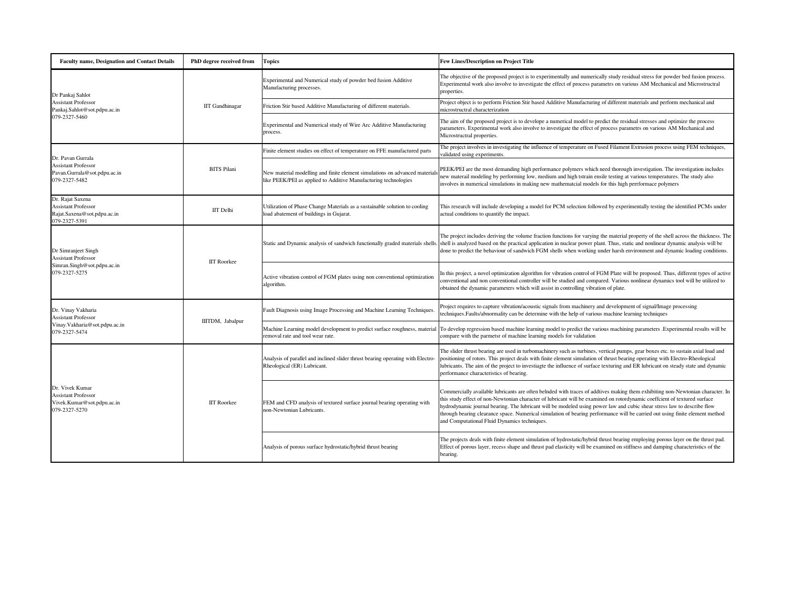| <b>Faculty name, Designation and Contact Details</b>                                               | PhD degree received from | <b>Topics</b>                                                                                                                                 | <b>Few Lines/Description on Project Title</b>                                                                                                                                                                                                                                                                                                                                                                                                                                                                                                                          |
|----------------------------------------------------------------------------------------------------|--------------------------|-----------------------------------------------------------------------------------------------------------------------------------------------|------------------------------------------------------------------------------------------------------------------------------------------------------------------------------------------------------------------------------------------------------------------------------------------------------------------------------------------------------------------------------------------------------------------------------------------------------------------------------------------------------------------------------------------------------------------------|
| Dr Pankaj Sahlot<br><b>Assistant Professor</b><br>Pankaj.Sahlot@sot.pdpu.ac.in<br>079-2327-5460    | <b>IIT</b> Gandhinagar   | Experimental and Numerical study of powder bed fusion Additive<br>Manufacturing processes.                                                    | The objective of the proposed project is to experimentally and numerically study residual stress for powder bed fusion process.<br>Experimental work also involve to investigate the effect of process parametrs on various AM Mechanical and Microstructral<br>properties.                                                                                                                                                                                                                                                                                            |
|                                                                                                    |                          | Friction Stir based Additive Manufacturing of different materials.                                                                            | Project object is to perform Friction Stir based Additive Manufacturing of different materials and perform mechanical and<br>microstructral characterization                                                                                                                                                                                                                                                                                                                                                                                                           |
|                                                                                                    |                          | Experimental and Numerical study of Wire Arc Additive Manufacturing<br>process.                                                               | The aim of the proposed project is to develope a numerical model to predict the residual stresses and optimize the process<br>parameters. Experimental work also involve to investigate the effect of process parametrs on various AM Mechanical and<br>Microstructral properties.                                                                                                                                                                                                                                                                                     |
|                                                                                                    | <b>BITS Pilani</b>       | Finite element studies on effect of temperature on FFE manufactured parts                                                                     | The project involves in investigating the influence of temperature on Fused Filament Extrusion process using FEM techniques,<br>alidated using experiments.                                                                                                                                                                                                                                                                                                                                                                                                            |
| Dr. Pavan Gurrala<br><b>Assistant Professor</b><br>Pavan.Gurrala@sot.pdpu.ac.in<br>079-2327-5482   |                          | New material modelling and finite element simulations on advanced material<br>like PEEK/PEI as applied to Additive Manufacturing technologies | PEEK/PEI are the most demanding high performance polymers which need thorough investigation. The investigation includes<br>new materail modeling by performing low, medium and high tstrain ensile testing at various temperatures. The study also<br>involves in numerical simulations in making new mathematcial models for this high perrformace polymers                                                                                                                                                                                                           |
| Dr. Rajat Saxena<br><b>Assistant Professor</b><br>Rajat.Saxena@sot.pdpu.ac.in<br>079-2327-5391     | <b>IIT</b> Delhi         | Jtilization of Phase Change Materials as a sustainable solution to cooling<br>load abatement of buildings in Gujarat.                         | This research will include developing a model for PCM selection followed by experimentally testing the identified PCMs under<br>actual conditions to quantify the impact.                                                                                                                                                                                                                                                                                                                                                                                              |
| Dr Simranjeet Singh<br><b>Assistant Professor</b><br>Simran.Singh@sot.pdpu.ac.in<br>079-2327-5275  | <b>IIT Roorkee</b>       | Static and Dynamic analysis of sandwich functionally graded materials shells.                                                                 | The project includes deriving the volume fraction functions for varying the material property of the shell across the thickness. The<br>shell is analyzed based on the practical application in nuclear power plant. Thus, static and nonlinear dynamic analysis will be<br>done to predict the behaviour of sandwich FGM shells when working under harsh environment and dynamic loading conditions.                                                                                                                                                                  |
|                                                                                                    |                          | Active vibration control of FGM plates using non conventional optimization<br>algorithm.                                                      | In this project, a novel optimization algorithm for vibration control of FGM Plate will be proposed. Thus, different types of active<br>conventional and non conventional controller will be studied and compared. Various nonlinear dynamics tool will be utilized to<br>obtained the dynamic parameters which will assist in controlling vibration of plate.                                                                                                                                                                                                         |
| Dr. Vinay Vakharia<br><b>Assistant Professor</b><br>Vinay.Vakharia@sot.pdpu.ac.in<br>079-2327-5474 | IIITDM, Jabalpur         | Fault Diagnosis using Image Processing and Machine Learning Techniques                                                                        | Project requires to capture vibration/acoustic signals from machinery and development of signal/Image processing<br>echniques. Faults/abnormality can be determine with the help of various machine learning techniques                                                                                                                                                                                                                                                                                                                                                |
|                                                                                                    |                          | Machine Learning model development to predict surface roughness, material<br>removal rate and tool wear rate.                                 | To develop regression based machine learning model to predict the various machining parameters .Experimental results will be<br>compare with the parmetsr of machine learning models for validation                                                                                                                                                                                                                                                                                                                                                                    |
| Dr. Vivek Kumar<br><b>Assistant Professor</b><br>Vivek.Kumar@sot.pdpu.ac.in<br>079-2327-5270       | <b>IIT Roorkee</b>       | Analysis of parallel and inclined slider thrust bearing operating with Electro-<br>Rheological (ER) Lubricant                                 | The slider thrust bearing are used in turbomachinery such as turbines, vertical pumps, gear boxes etc. to sustain axial load and<br>positioning of rotors. This project deals with finite element simulation of thrust bearing operating with Electro-Rheological<br>ubricants. The aim of the project to investiagte the influence of surface texturing and ER lubricant on steady state and dynamic<br>performance characteristics of bearing.                                                                                                                       |
|                                                                                                    |                          | FEM and CFD analysis of textured surface journal bearing operating with<br>non-Newtonian Lubricants.                                          | Commercially available lubricants are often belnded with traces of addtives making them exhibiting non-Newtonian character. In<br>this study effect of non-Newtonian character of lubricant will be examined on rotordynamic coeffcient of textured surface<br>hydrodynamic journal bearing. The lubricant will be modeled using power law and cubic shear stress law to describe flow<br>through bearing clearance space. Numerical simulation of bearing performance will be carried out using finite element method<br>and Computational Fluid Dynamics techniques. |
|                                                                                                    |                          | Analysis of porous surface hydrostatic/hybrid thrust bearing                                                                                  | The projects deals with finite element simulation of hydrostatic/hybrid thrust bearing employing porous layer on the thrust pad.<br>Effect of porous layer, recess shape and thrust pad elasticity will be examined on stiffness and damping characteristics of the<br>bearing.                                                                                                                                                                                                                                                                                        |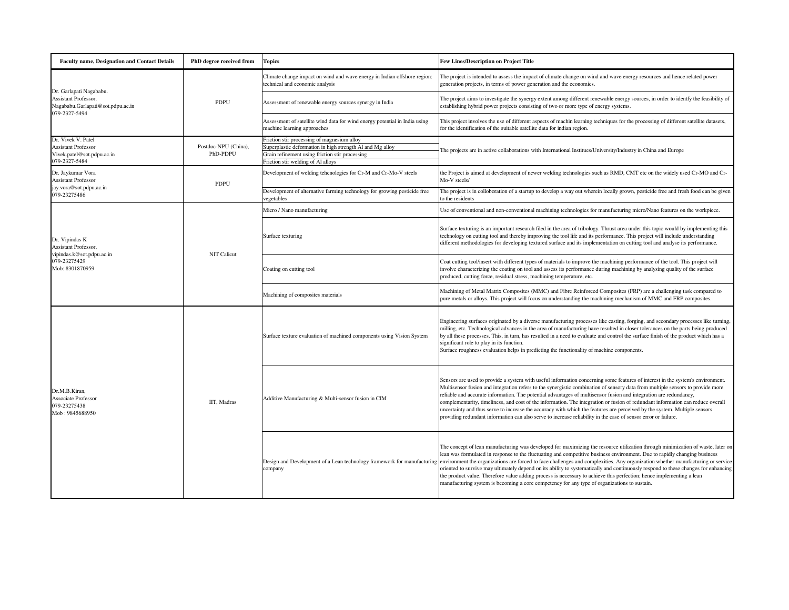| <b>Faculty name, Designation and Contact Details</b>                                                   | PhD degree received from         | Topics                                                                                                                                                                                           | <b>Few Lines/Description on Project Title</b>                                                                                                                                                                                                                                                                                                                                                                                                                                                                                                                                                                                                                                                                                                                                                                                         |
|--------------------------------------------------------------------------------------------------------|----------------------------------|--------------------------------------------------------------------------------------------------------------------------------------------------------------------------------------------------|---------------------------------------------------------------------------------------------------------------------------------------------------------------------------------------------------------------------------------------------------------------------------------------------------------------------------------------------------------------------------------------------------------------------------------------------------------------------------------------------------------------------------------------------------------------------------------------------------------------------------------------------------------------------------------------------------------------------------------------------------------------------------------------------------------------------------------------|
| Dr. Garlapati Nagababu.<br>Assistant Professor.<br>Nagababu.Garlapati@sot.pdpu.ac.in<br>079-2327-5494  | <b>PDPU</b>                      | Climate change impact on wind and wave energy in Indian offshore region:<br>echnical and economic analysis                                                                                       | The project is intended to assess the impact of climate change on wind and wave energy resources and hence related power<br>generation projects, in terms of power generation and the economics.                                                                                                                                                                                                                                                                                                                                                                                                                                                                                                                                                                                                                                      |
|                                                                                                        |                                  | Assessment of renewable energy sources synergy in India                                                                                                                                          | The project aims to investigate the synergy extent among different renewable energy sources, in order to identfy the feasibility of<br>establishing hybrid power projects consisting of two or more type of energy systems.                                                                                                                                                                                                                                                                                                                                                                                                                                                                                                                                                                                                           |
|                                                                                                        |                                  | Assessment of satellite wind data for wind energy potential in India using<br>nachine learning approaches                                                                                        | This project involves the use of different aspects of machin learning techniques for the processing of different satellite datasets,<br>for the identification of the suitable satellite data for indian region.                                                                                                                                                                                                                                                                                                                                                                                                                                                                                                                                                                                                                      |
| Dr. Vivek V. Patel<br><b>Assistant Professor</b><br>Vivek.patel@sot.pdpu.ac.in<br>079-2327-5484        | Postdoc-NPU (China),<br>PhD-PDPU | Friction stir processing of magnesium alloy<br>uperplastic deformation in high strength Al and Mg alloy<br>Grain refinement using friction stir processing<br>Friction stir welding of Al alloys | The projects are in active collaborations with International Institues/University/Industry in China and Europe                                                                                                                                                                                                                                                                                                                                                                                                                                                                                                                                                                                                                                                                                                                        |
| Dr. Jaykumar Vora<br><b>Assistant Professor</b>                                                        | PDPU                             | Development of welding tehcnologies for Cr-M and Cr-Mo-V steels                                                                                                                                  | the Project is aimed at development of newer welding technologies such as RMD, CMT etc on the widely used Cr-MO and Cr-<br>Mo-V steels/                                                                                                                                                                                                                                                                                                                                                                                                                                                                                                                                                                                                                                                                                               |
| jay.vora@sot.pdpu.ac.in<br>079-23275486                                                                |                                  | Development of alternative farming technology for growing pesticide free<br>egetables                                                                                                            | The project is in colloboration of a startup to develop a way out wherein locally grown, pesticide free and fresh food can be given<br>o the residents                                                                                                                                                                                                                                                                                                                                                                                                                                                                                                                                                                                                                                                                                |
|                                                                                                        |                                  | Micro / Nano manufacturing                                                                                                                                                                       | Jse of conventional and non-conventional machining technologies for manufacturing micro/Nano features on the workpiece.                                                                                                                                                                                                                                                                                                                                                                                                                                                                                                                                                                                                                                                                                                               |
| Dr. Vipindas K<br>Assistant Professor,<br>vipindas.k@sot.pdpu.ac.in<br>079-23275429<br>Mob: 8301870959 | NIT Calicut                      | Surface texturing                                                                                                                                                                                | Surface texturing is an important research filed in the area of tribology. Thrust area under this topic would by implementing this<br>technology on cutting tool and thereby improving the tool life and its performance. This project will include understanding<br>different methodologies for developing textured surface and its implementation on cutting tool and analyse its performance.                                                                                                                                                                                                                                                                                                                                                                                                                                      |
|                                                                                                        |                                  | Coating on cutting tool                                                                                                                                                                          | Coat cutting tool/insert with different types of materials to improve the machining performance of the tool. This project will<br>involve characterizing the coating on tool and assess its performance during machining by analysing quality of the surface<br>produced, cutting force, residual stress, machining temperature, etc.                                                                                                                                                                                                                                                                                                                                                                                                                                                                                                 |
|                                                                                                        |                                  | Machining of composites materials                                                                                                                                                                | Machining of Metal Matrix Composites (MMC) and Fibre Reinforced Composites (FRP) are a challenging task compared to<br>pure metals or alloys. This project will focus on understanding the machining mechanism of MMC and FRP composites.                                                                                                                                                                                                                                                                                                                                                                                                                                                                                                                                                                                             |
| Dr.M.B.Kiran,<br>Associate Professor<br>079-23275438<br>Mob: 9845688950                                | IIT, Madras                      | Surface texture evaluation of machined components using Vision System                                                                                                                            | Engineering surfaces originated by a diverse manufacturing processes like casting, forging, and secondary processes like turning,<br>milling, etc. Technological advances in the area of manufacturing have resulted in closer tolerances on the parts being produced<br>by all these processes. This, in turn, has resulted in a need to evaluate and control the surface finish of the product which has a<br>significant role to play in its function.<br>Surface roughness evaluation helps in predicting the functionality of machine components.                                                                                                                                                                                                                                                                                |
|                                                                                                        |                                  | Additive Manufacturing & Multi-sensor fusion in CIM                                                                                                                                              | Sensors are used to provide a system with useful information concerning some features of interest in the system's environment.<br>Multisensor fusion and integration refers to the synergistic combination of sensory data from multiple sensors to provide more<br>eliable and accurate information. The potential advantages of multisensor fusion and integration are redundancy,<br>complementarity, timeliness, and cost of the information. The integration or fusion of redundant information can reduce overall<br>uncertainty and thus serve to increase the accuracy with which the features are perceived by the system. Multiple sensors<br>providing redundant information can also serve to increase reliability in the case of sensor error or failure.                                                                |
|                                                                                                        |                                  | company                                                                                                                                                                                          | The concept of lean manufacturing was developed for maximizing the resource utilization through minimization of waste, later on<br>lean was formulated in response to the fluctuating and competitive business environment. Due to rapidly changing business<br>Design and Development of a Lean technology framework for manufacturing environment the organizations are forced to face challenges and complexities. Any organization whether manufacturing or service<br>priented to survive may ultimately depend on its ability to systematically and continuously respond to these changes for enhancing<br>the product value. Therefore value adding process is necessary to achieve this perfection; hence implementing a lean<br>manufacturing system is becoming a core competency for any type of organizations to sustain. |